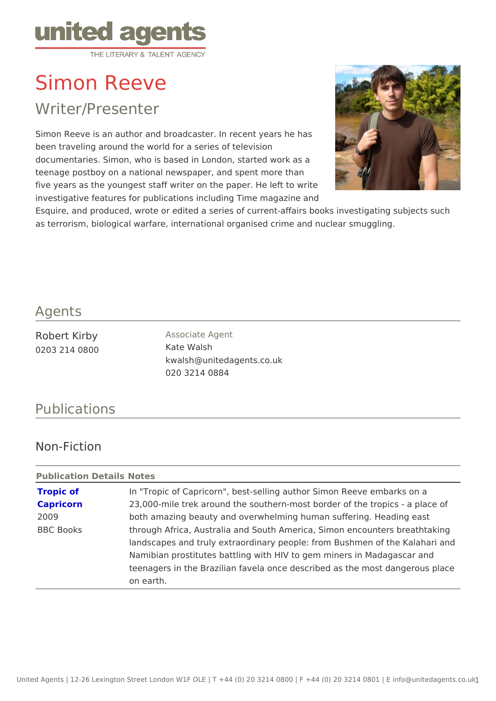# Simon Reeve

## Writer/Presenter

Simon Reeve is an author and broadcaster. In recent years he has been traveling around the world for a series of television documentaries. Simon, who is based in London, started work as a teenage postboy on a national newspaper, and spent more than five years as the youngest staff writer on the paper. He left to write investigative features for publications including Time magazine and Esquire, and produced, wrote or edited a series of current-affairs books inve as terrorism, biological warfare, international organised crime and nuclear sm

#### Agents

| Robert Kirby  | Associate Agent           |
|---------------|---------------------------|
| 0203 214 0800 | Kate Walsh                |
|               | kwalsh@unitedagents.co.uk |
|               | 020 3214 0884             |

### Publications

### Non-Fiction

Publication DetaNidses

| Tropic of        | In "Tropic of Capricorn", best-selling author Simon Reeve em  |
|------------------|---------------------------------------------------------------|
|                  |                                                               |
| Capricorn        | 23,000-mile trek around the southern-most border of the tropi |
| 2009             | both amazing beauty and overwhelming human suffering. Head    |
| <b>BBC Books</b> | through Africa, Australia and South America, Simon encounte   |
|                  | landscapes and truly extraordinary people: from Bushmen of t  |
|                  | Namibian prostitutes battling with HIV to gem miners in Mada  |
|                  | teenagers in the Brazilian favela once described as the most  |
|                  | on earth.                                                     |